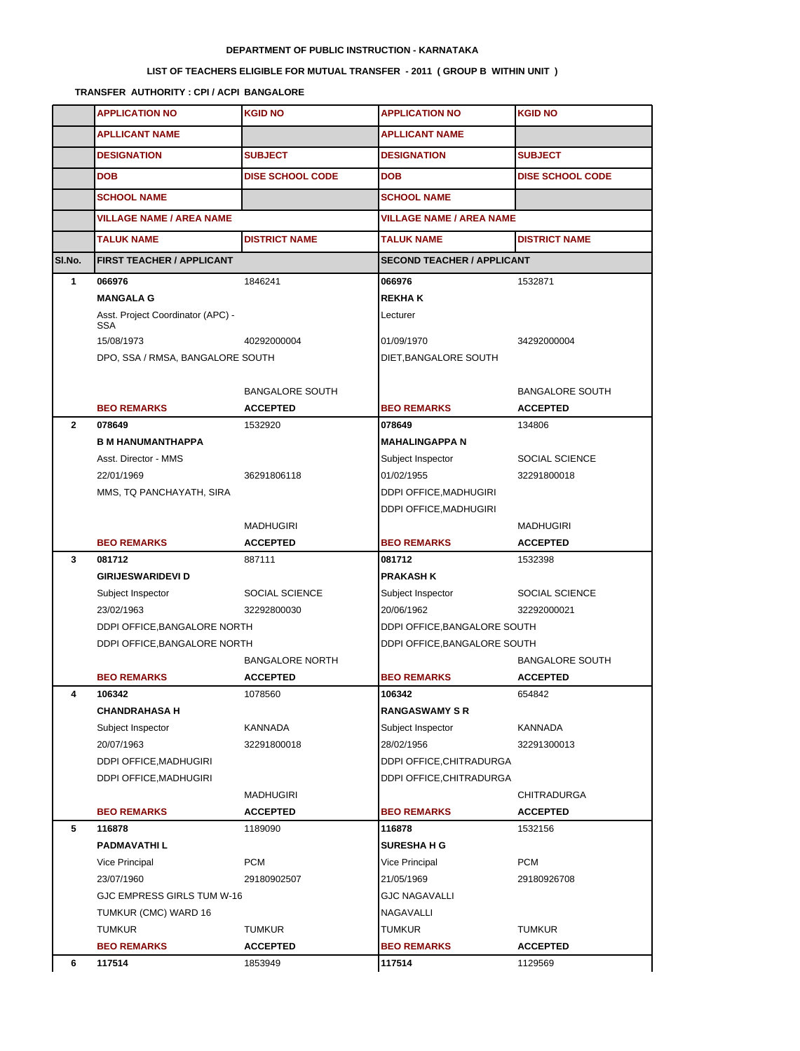## **DEPARTMENT OF PUBLIC INSTRUCTION - KARNATAKA**

## **LIST OF TEACHERS ELIGIBLE FOR MUTUAL TRANSFER - 2011 ( GROUP B WITHIN UNIT )**

**TRANSFER AUTHORITY : CPI / ACPI BANGALORE**

|              | <b>APPLICATION NO</b>                           | <b>KGID NO</b>          | <b>APPLICATION NO</b>           | <b>KGID NO</b>                    |  |
|--------------|-------------------------------------------------|-------------------------|---------------------------------|-----------------------------------|--|
|              | <b>APLLICANT NAME</b>                           |                         | <b>APLLICANT NAME</b>           |                                   |  |
|              | <b>DESIGNATION</b>                              | <b>SUBJECT</b>          | <b>DESIGNATION</b>              | <b>SUBJECT</b>                    |  |
|              | <b>DOB</b>                                      | <b>DISE SCHOOL CODE</b> | <b>DOB</b>                      | <b>DISE SCHOOL CODE</b>           |  |
|              | <b>SCHOOL NAME</b>                              |                         | <b>SCHOOL NAME</b>              |                                   |  |
|              | <b>VILLAGE NAME / AREA NAME</b>                 |                         | <b>VILLAGE NAME / AREA NAME</b> |                                   |  |
|              | <b>TALUK NAME</b>                               | <b>DISTRICT NAME</b>    | <b>TALUK NAME</b>               | <b>DISTRICT NAME</b>              |  |
| SI.No.       | FIRST TEACHER / APPLICANT                       |                         |                                 | <b>SECOND TEACHER / APPLICANT</b> |  |
| 1            | 066976                                          | 1846241                 | 066976                          | 1532871                           |  |
|              | <b>MANGALA G</b>                                |                         | <b>REKHAK</b>                   |                                   |  |
|              | Asst. Project Coordinator (APC) -<br><b>SSA</b> |                         | Lecturer                        |                                   |  |
|              | 15/08/1973                                      | 40292000004             | 01/09/1970                      | 34292000004                       |  |
|              | DPO, SSA / RMSA, BANGALORE SOUTH                |                         | DIET, BANGALORE SOUTH           |                                   |  |
|              |                                                 |                         |                                 |                                   |  |
|              |                                                 | <b>BANGALORE SOUTH</b>  |                                 | <b>BANGALORE SOUTH</b>            |  |
| $\mathbf{2}$ | <b>BEO REMARKS</b>                              | <b>ACCEPTED</b>         | <b>BEO REMARKS</b>              | <b>ACCEPTED</b>                   |  |
|              | 078649<br><b>B M HANUMANTHAPPA</b>              | 1532920                 | 078649<br><b>MAHALINGAPPA N</b> | 134806                            |  |
|              | Asst. Director - MMS                            |                         |                                 | SOCIAL SCIENCE                    |  |
|              | 22/01/1969                                      | 36291806118             | Subject Inspector<br>01/02/1955 | 32291800018                       |  |
|              | MMS, TQ PANCHAYATH, SIRA                        |                         | DDPI OFFICE, MADHUGIRI          |                                   |  |
|              |                                                 |                         | DDPI OFFICE, MADHUGIRI          |                                   |  |
|              |                                                 | <b>MADHUGIRI</b>        |                                 | <b>MADHUGIRI</b>                  |  |
|              | <b>BEO REMARKS</b>                              | <b>ACCEPTED</b>         | <b>BEO REMARKS</b>              | <b>ACCEPTED</b>                   |  |
| 3            | 081712                                          | 887111                  | 081712                          | 1532398                           |  |
|              | <b>GIRIJESWARIDEVI D</b>                        |                         | <b>PRAKASH K</b>                |                                   |  |
|              | Subject Inspector                               | SOCIAL SCIENCE          | Subject Inspector               | SOCIAL SCIENCE                    |  |
|              | 23/02/1963                                      | 32292800030             | 20/06/1962                      | 32292000021                       |  |
|              | DDPI OFFICE, BANGALORE NORTH                    |                         | DDPI OFFICE, BANGALORE SOUTH    |                                   |  |
|              | DDPI OFFICE, BANGALORE NORTH                    |                         | DDPI OFFICE, BANGALORE SOUTH    |                                   |  |
|              |                                                 | <b>BANGALORE NORTH</b>  |                                 | <b>BANGALORE SOUTH</b>            |  |
|              | <b>BEO REMARKS</b>                              | <b>ACCEPTED</b>         | <b>BEO REMARKS</b>              | <b>ACCEPTED</b>                   |  |
| 4            | 106342                                          | 1078560                 | 106342                          | 654842                            |  |
|              | <b>CHANDRAHASA H</b>                            |                         | <b>RANGASWAMY S R</b>           |                                   |  |
|              | Subject Inspector                               | KANNADA                 | Subject Inspector               | KANNADA                           |  |
|              | 20/07/1963                                      | 32291800018             | 28/02/1956                      | 32291300013                       |  |
|              | DDPI OFFICE, MADHUGIRI                          |                         | DDPI OFFICE, CHITRADURGA        |                                   |  |
|              | DDPI OFFICE, MADHUGIRI                          |                         | DDPI OFFICE, CHITRADURGA        |                                   |  |
|              |                                                 | <b>MADHUGIRI</b>        |                                 | <b>CHITRADURGA</b>                |  |
|              | <b>BEO REMARKS</b>                              | <b>ACCEPTED</b>         | <b>BEO REMARKS</b>              | <b>ACCEPTED</b>                   |  |
| 5            | 116878                                          | 1189090                 | 116878                          | 1532156                           |  |
|              | <b>PADMAVATHIL</b>                              |                         | <b>SURESHA H G</b>              |                                   |  |
|              | Vice Principal                                  | <b>PCM</b>              | Vice Principal                  | <b>PCM</b>                        |  |
|              | 23/07/1960                                      | 29180902507             | 21/05/1969                      | 29180926708                       |  |
|              | GJC EMPRESS GIRLS TUM W-16                      |                         | <b>GJC NAGAVALLI</b>            |                                   |  |
|              | TUMKUR (CMC) WARD 16                            |                         | NAGAVALLI                       |                                   |  |
|              | <b>TUMKUR</b>                                   | TUMKUR                  | TUMKUR                          | <b>TUMKUR</b>                     |  |
|              | <b>BEO REMARKS</b>                              | <b>ACCEPTED</b>         | <b>BEO REMARKS</b>              | <b>ACCEPTED</b>                   |  |
| 6            | 117514                                          | 1853949                 | 117514                          | 1129569                           |  |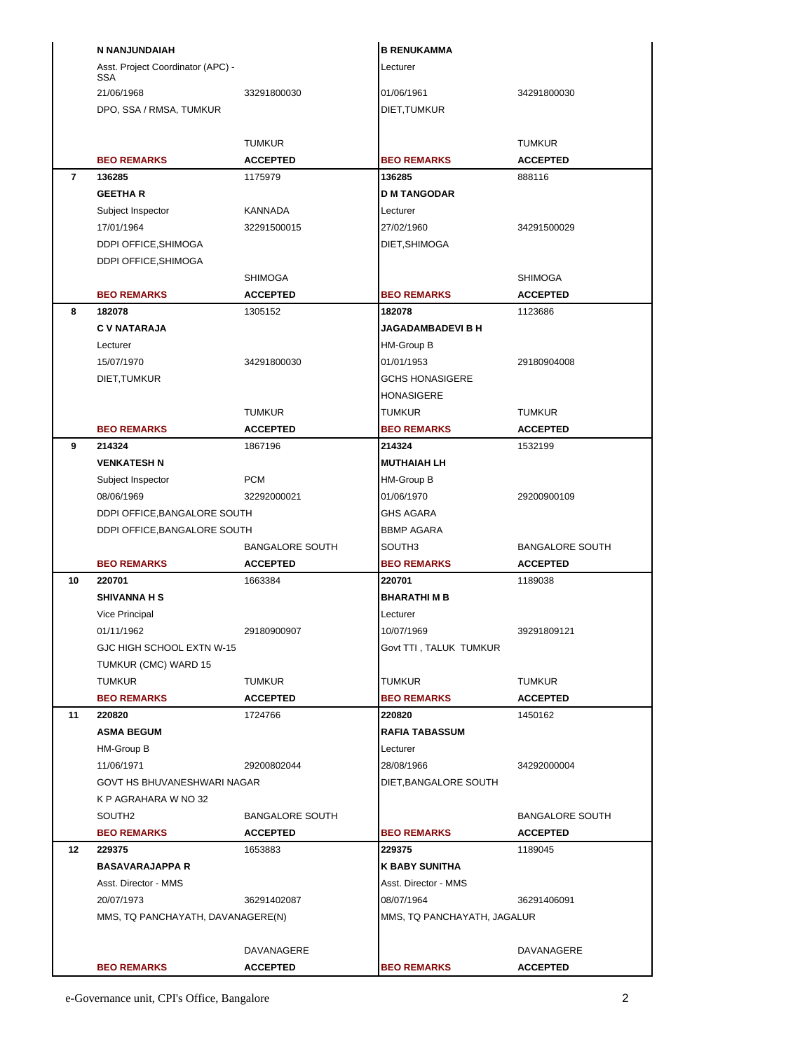|                | N NANJUNDAIAH                     |                        | <b>B RENUKAMMA</b>           |                        |
|----------------|-----------------------------------|------------------------|------------------------------|------------------------|
|                | Asst. Project Coordinator (APC) - |                        | Lecturer                     |                        |
|                | <b>SSA</b><br>21/06/1968          | 33291800030            | 01/06/1961                   | 34291800030            |
|                | DPO, SSA / RMSA, TUMKUR           |                        | DIET, TUMKUR                 |                        |
|                |                                   |                        |                              |                        |
|                |                                   | <b>TUMKUR</b>          |                              | <b>TUMKUR</b>          |
|                | <b>BEO REMARKS</b>                | <b>ACCEPTED</b>        | <b>BEO REMARKS</b>           | <b>ACCEPTED</b>        |
| $\overline{7}$ | 136285                            | 1175979                | 136285                       | 888116                 |
|                | <b>GEETHAR</b>                    |                        | <b>D M TANGODAR</b>          |                        |
|                | Subject Inspector                 | KANNADA                | Lecturer                     |                        |
|                | 17/01/1964                        | 32291500015            | 27/02/1960                   | 34291500029            |
|                | DDPI OFFICE, SHIMOGA              |                        | DIET, SHIMOGA                |                        |
|                | DDPI OFFICE, SHIMOGA              |                        |                              |                        |
|                |                                   | <b>SHIMOGA</b>         |                              | <b>SHIMOGA</b>         |
|                | <b>BEO REMARKS</b>                | <b>ACCEPTED</b>        | <b>BEO REMARKS</b>           | <b>ACCEPTED</b>        |
| 8              | 182078                            | 1305152                | 182078                       | 1123686                |
|                | <b>C V NATARAJA</b>               |                        | <b>JAGADAMBADEVI B H</b>     |                        |
|                | Lecturer                          |                        | HM-Group B                   |                        |
|                | 15/07/1970                        | 34291800030            | 01/01/1953                   | 29180904008            |
|                | DIET, TUMKUR                      |                        | <b>GCHS HONASIGERE</b>       |                        |
|                |                                   |                        | HONASIGERE                   |                        |
|                |                                   | <b>TUMKUR</b>          | TUMKUR                       | <b>TUMKUR</b>          |
|                | <b>BEO REMARKS</b>                | <b>ACCEPTED</b>        | <b>BEO REMARKS</b>           | <b>ACCEPTED</b>        |
| 9              | 214324<br><b>VENKATESH N</b>      | 1867196                | 214324<br><b>MUTHAIAH LH</b> | 1532199                |
|                | Subject Inspector                 | <b>PCM</b>             | HM-Group B                   |                        |
|                | 08/06/1969                        | 32292000021            | 01/06/1970                   | 29200900109            |
|                | DDPI OFFICE, BANGALORE SOUTH      |                        | GHS AGARA                    |                        |
|                | DDPI OFFICE, BANGALORE SOUTH      |                        | <b>BBMP AGARA</b>            |                        |
|                |                                   | <b>BANGALORE SOUTH</b> | SOUTH3                       | <b>BANGALORE SOUTH</b> |
|                | <b>BEO REMARKS</b>                | <b>ACCEPTED</b>        | <b>BEO REMARKS</b>           | <b>ACCEPTED</b>        |
| 10             | 220701                            | 1663384                | 220701                       | 1189038                |
|                | <b>SHIVANNA H S</b>               |                        | <b>BHARATHIMB</b>            |                        |
|                | Vice Principal                    |                        | Lecturer                     |                        |
|                | 01/11/1962                        | 29180900907            | 10/07/1969                   | 39291809121            |
|                | GJC HIGH SCHOOL EXTN W-15         |                        | Govt TTI, TALUK TUMKUR       |                        |
|                | TUMKUR (CMC) WARD 15              |                        |                              |                        |
|                |                                   |                        |                              |                        |
|                | <b>TUMKUR</b>                     | <b>TUMKUR</b>          | <b>TUMKUR</b>                | <b>TUMKUR</b>          |
|                | <b>BEO REMARKS</b>                | <b>ACCEPTED</b>        | <b>BEO REMARKS</b>           | <b>ACCEPTED</b>        |
| 11             | 220820                            | 1724766                | 220820                       | 1450162                |
|                | <b>ASMA BEGUM</b>                 |                        | <b>RAFIA TABASSUM</b>        |                        |
|                | HM-Group B                        |                        | Lecturer                     |                        |
|                | 11/06/1971                        | 29200802044            | 28/08/1966                   | 34292000004            |
|                | GOVT HS BHUVANESHWARI NAGAR       |                        | DIET, BANGALORE SOUTH        |                        |
|                | K P AGRAHARA W NO 32              |                        |                              |                        |
|                | SOUTH <sub>2</sub>                | <b>BANGALORE SOUTH</b> |                              | <b>BANGALORE SOUTH</b> |
|                | <b>BEO REMARKS</b>                | <b>ACCEPTED</b>        | <b>BEO REMARKS</b>           | <b>ACCEPTED</b>        |
| $12 \,$        | 229375<br><b>BASAVARAJAPPA R</b>  | 1653883                | 229375<br>K BABY SUNITHA     | 1189045                |
|                | Asst. Director - MMS              |                        | Asst. Director - MMS         |                        |
|                | 20/07/1973                        | 36291402087            | 08/07/1964                   | 36291406091            |
|                | MMS, TQ PANCHAYATH, DAVANAGERE(N) |                        | MMS, TQ PANCHAYATH, JAGALUR  |                        |
|                |                                   |                        |                              |                        |
|                |                                   | DAVANAGERE             |                              | DAVANAGERE             |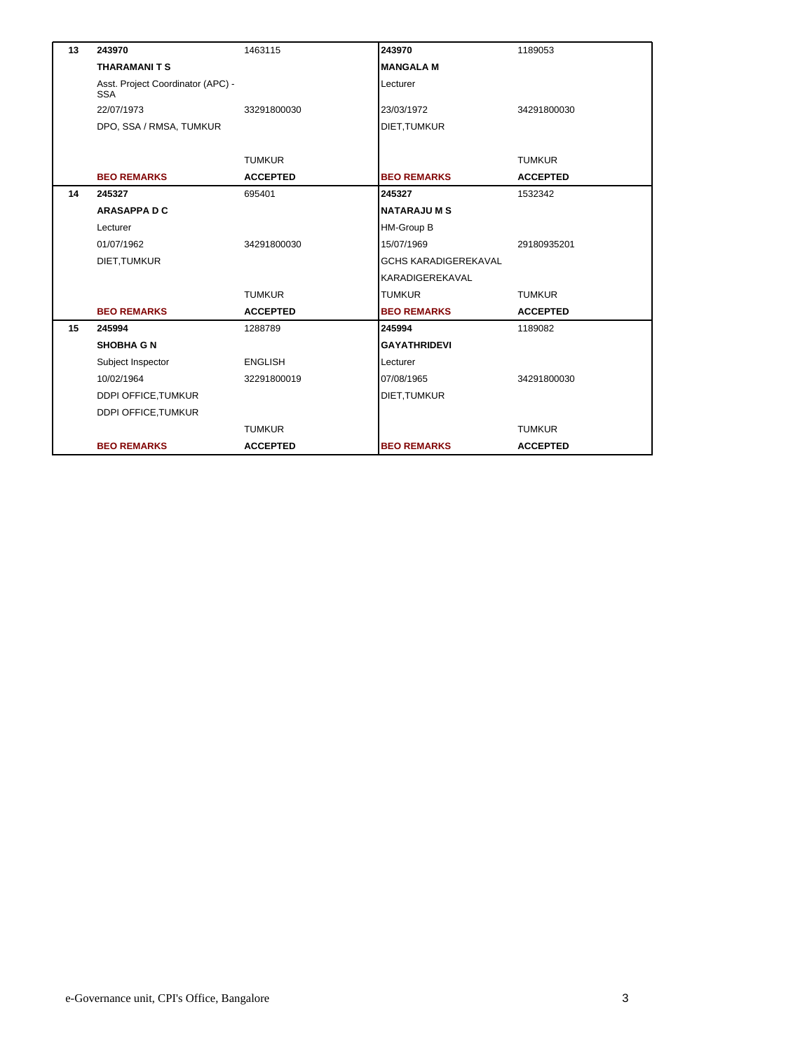| 13 | 243970                                          | 1463115         | 243970                      | 1189053         |
|----|-------------------------------------------------|-----------------|-----------------------------|-----------------|
|    | <b>THARAMANITS</b>                              |                 | <b>MANGALA M</b>            |                 |
|    | Asst. Project Coordinator (APC) -<br><b>SSA</b> |                 | Lecturer                    |                 |
|    | 22/07/1973                                      | 33291800030     | 23/03/1972                  | 34291800030     |
|    | DPO, SSA / RMSA, TUMKUR                         |                 | DIET, TUMKUR                |                 |
|    |                                                 |                 |                             |                 |
|    |                                                 | <b>TUMKUR</b>   |                             | <b>TUMKUR</b>   |
|    | <b>BEO REMARKS</b>                              | <b>ACCEPTED</b> | <b>BEO REMARKS</b>          | <b>ACCEPTED</b> |
| 14 | 245327                                          | 695401          | 245327                      | 1532342         |
|    | <b>ARASAPPA D C</b>                             |                 | <b>NATARAJUMS</b>           |                 |
|    | Lecturer                                        |                 | HM-Group B                  |                 |
|    | 01/07/1962                                      | 34291800030     | 15/07/1969                  | 29180935201     |
|    | DIET, TUMKUR                                    |                 | <b>GCHS KARADIGEREKAVAL</b> |                 |
|    |                                                 |                 | KARADIGEREKAVAL             |                 |
|    |                                                 | <b>TUMKUR</b>   | <b>TUMKUR</b>               | <b>TUMKUR</b>   |
|    | <b>BEO REMARKS</b>                              | <b>ACCEPTED</b> | <b>BEO REMARKS</b>          | <b>ACCEPTED</b> |
| 15 | 245994                                          | 1288789         | 245994                      | 1189082         |
|    | <b>SHOBHA G N</b>                               |                 | <b>GAYATHRIDEVI</b>         |                 |
|    | Subject Inspector                               | <b>ENGLISH</b>  | Lecturer                    |                 |
|    | 10/02/1964                                      | 32291800019     | 07/08/1965                  | 34291800030     |
|    | DDPI OFFICE, TUMKUR                             |                 | DIET, TUMKUR                |                 |
|    | <b>DDPI OFFICE, TUMKUR</b>                      |                 |                             |                 |
|    |                                                 | <b>TUMKUR</b>   |                             | <b>TUMKUR</b>   |
|    | <b>BEO REMARKS</b>                              | <b>ACCEPTED</b> | <b>BEO REMARKS</b>          | <b>ACCEPTED</b> |